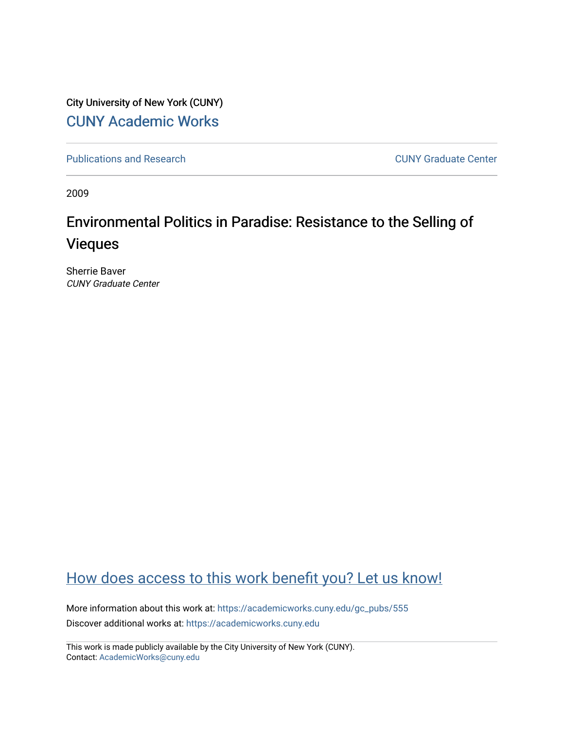City University of New York (CUNY) [CUNY Academic Works](https://academicworks.cuny.edu/) 

[Publications and Research](https://academicworks.cuny.edu/gc_pubs) [CUNY Graduate Center](https://academicworks.cuny.edu/gc) 

2009

## Environmental Politics in Paradise: Resistance to the Selling of Vieques

Sherrie Baver CUNY Graduate Center

### [How does access to this work benefit you? Let us know!](http://ols.cuny.edu/academicworks/?ref=https://academicworks.cuny.edu/gc_pubs/555)

More information about this work at: [https://academicworks.cuny.edu/gc\\_pubs/555](https://academicworks.cuny.edu/gc_pubs/555) Discover additional works at: [https://academicworks.cuny.edu](https://academicworks.cuny.edu/?)

This work is made publicly available by the City University of New York (CUNY). Contact: [AcademicWorks@cuny.edu](mailto:AcademicWorks@cuny.edu)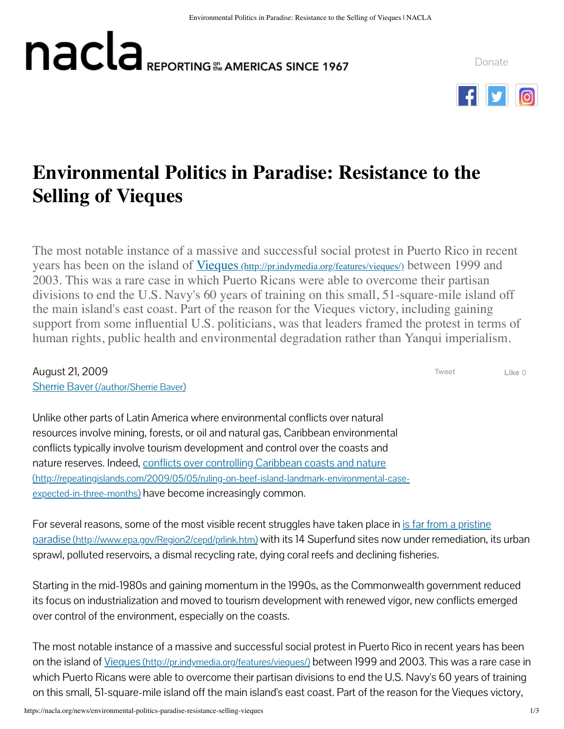# **nacla** REPORTING **SE AMERICAS** SINCE 1967

[Donate](https://nacla.org/donate)



# **Environmental Politics in Paradise: Resistance to the Selling of Vieques**

The most notable instance of a massive and successful social protest in Puerto Rico in recent years has been on the island of <u>Vieques [\(http://pr.indymedia.org/features/vieques/\)](http://pr.indymedia.org/features/vieques/)</u> between 1999 and 2003. This was a rare case in which Puerto Ricans were able to overcome their partisan divisions to end the U.S. Navy's 60 years of training on this small, 51-square-mile island off the main island's east coast. Part of the reason for the Vieques victory, including gaining support from some influential U.S. politicians, was that leaders framed the protest in terms of human rights, public health and environmental degradation rather than Yanqui imperialism.

August 21, 2009 Sherrie Baver [\(/author/Sherrie Baver\)](https://nacla.org/author/Sherrie%20Baver)

[Tweet](https://twitter.com/intent/tweet?original_referer=https%3A%2F%2Fnacla.org%2F&ref_src=twsrc%5Etfw&related=%3A&text=Environmental%20Politics%20in%20Paradise%3A%20Resistance%20to%20the%20Selling%20of%20Vieques%20%7C%20NACLA&tw_p=tweetbutton&url=https%3A%2F%2Fnacla.org%2Fnews%2Fenvironmental-politics-paradise-resistance-selling-vieques) **Like** 0

Unlike other parts of Latin America where environmental conflicts over natural resources involve mining, forests, or oil and natural gas, Caribbean environmental conflicts typically involve tourism development and control over the coasts and [nature reserves. Indeed, conflicts over controlling Caribbean coasts and nature](http://repeatingislands.com/2009/05/05/ruling-on-beef-island-landmark-environmental-case-expected-in-three-months) (http://repeatingislands.com/2009/05/05/ruling-on-beef-island-landmark-environmental-caseexpected-in-three-months) have become increasingly common.

[For several reasons, some of the most visible recent struggles have taken place in is far from a pristine](http://www.epa.gov/Region2/cepd/prlink.htm) paradise (http://www.epa.gov/Region2/cepd/prlink.htm) with its 14 Superfund sites now under remediation, its urban sprawl, polluted reservoirs, a dismal recycling rate, dying coral reefs and declining fisheries.

Starting in the mid-1980s and gaining momentum in the 1990s, as the Commonwealth government reduced its focus on industrialization and moved to tourism development with renewed vigor, new conflicts emerged over control of the environment, especially on the coasts.

The most notable instance of a massive and successful social protest in Puerto Rico in recent years has been on the island of Vieques [\(http://pr.indymedia.org/features/vieques/\)](http://pr.indymedia.org/features/vieques/) between 1999 and 2003. This was a rare case in which Puerto Ricans were able to overcome their partisan divisions to end the U.S. Navy's 60 years of training on this small, 51-square-mile island off the main island's east coast. Part of the reason for the Vieques victory,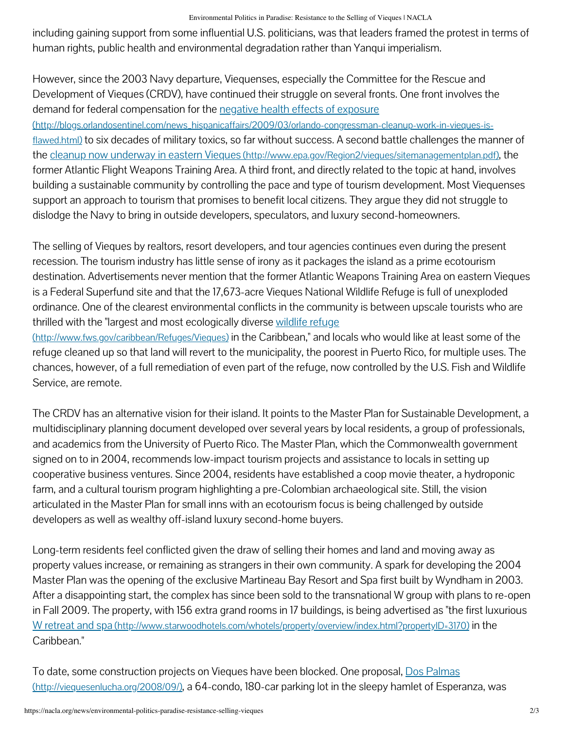including gaining support from some influential U.S. politicians, was that leaders framed the protest in terms of human rights, public health and environmental degradation rather than Yanqui imperialism.

However, since the 2003 Navy departure, Viequenses, especially the Committee for the Rescue and Development of Vieques (CRDV), have continued their struggle on several fronts. One front involves the demand for federal compensation for the negative health effects of exposure (http://blogs.orlandosentinel.com/news\_hispanicaffairs/2009/03/orlando-congressman-cleanup-work-in-vieques-isflawed.html) [to six decades of military toxics, so far without success. A second battle challenges the man](http://blogs.orlandosentinel.com/news_hispanicaffairs/2009/03/orlando-congressman-cleanup-work-in-vieques-is-flawed.html)ner of the cleanup now underway in eastern Vieques [\(http://www.epa.gov/Region2/vieques/sitemanagementplan.pdf\)](http://www.epa.gov/Region2/vieques/sitemanagementplan.pdf), the former Atlantic Flight Weapons Training Area. A third front, and directly related to the topic at hand, involves building a sustainable community by controlling the pace and type of tourism development. Most Viequenses support an approach to tourism that promises to benefit local citizens. They argue they did not struggle to dislodge the Navy to bring in outside developers, speculators, and luxury second-homeowners.

The selling of Vieques by realtors, resort developers, and tour agencies continues even during the present recession. The tourism industry has little sense of irony as it packages the island as a prime ecotourism destination. Advertisements never mention that the former Atlantic Weapons Training Area on eastern Vieques is a Federal Superfund site and that the 17,673-acre Vieques National Wildlife Refuge is full of unexploded ordinance. One of the clearest environmental conflicts in the community is between upscale tourists who are [thrilled with the "largest and most ecologically diverse wildlife refuge](http://www.fws.gov/caribbean/Refuges/Vieques)

(http://www.fws.gov/caribbean/Refuges/Vieques) in the Caribbean," and locals who would like at least some of the refuge cleaned up so that land will revert to the municipality, the poorest in Puerto Rico, for multiple uses. The chances, however, of a full remediation of even part of the refuge, now controlled by the U.S. Fish and Wildlife Service, are remote.

The CRDV has an alternative vision for their island. It points to the Master Plan for Sustainable Development, a multidisciplinary planning document developed over several years by local residents, a group of professionals, and academics from the University of Puerto Rico. The Master Plan, which the Commonwealth government signed on to in 2004, recommends low-impact tourism projects and assistance to locals in setting up cooperative business ventures. Since 2004, residents have established a coop movie theater, a hydroponic farm, and a cultural tourism program highlighting a pre-Colombian archaeological site. Still, the vision articulated in the Master Plan for small inns with an ecotourism focus is being challenged by outside developers as well as wealthy off-island luxury second-home buyers.

Long-term residents feel conflicted given the draw of selling their homes and land and moving away as property values increase, or remaining as strangers in their own community. A spark for developing the 2004 Master Plan was the opening of the exclusive Martineau Bay Resort and Spa first built by Wyndham in 2003. After a disappointing start, the complex has since been sold to the transnational W group with plans to re-open in Fall 2009. The property, with 156 extra grand rooms in 17 buildings, is being advertised as "the first luxurious W retreat and spa [\(http://www.starwoodhotels.com/whotels/property/overview/index.html?propertyID=3170\)](http://www.starwoodhotels.com/whotels/property/overview/index.html?propertyID=3170) in the Caribbean."

[To date, some construction projects on Vieques have been blocked. One proposal, Dos Palmas](http://viequesenlucha.org/2008/09/) (http://viequesenlucha.org/2008/09/), a 64-condo, 180-car parking lot in the sleepy hamlet of Esperanza, was